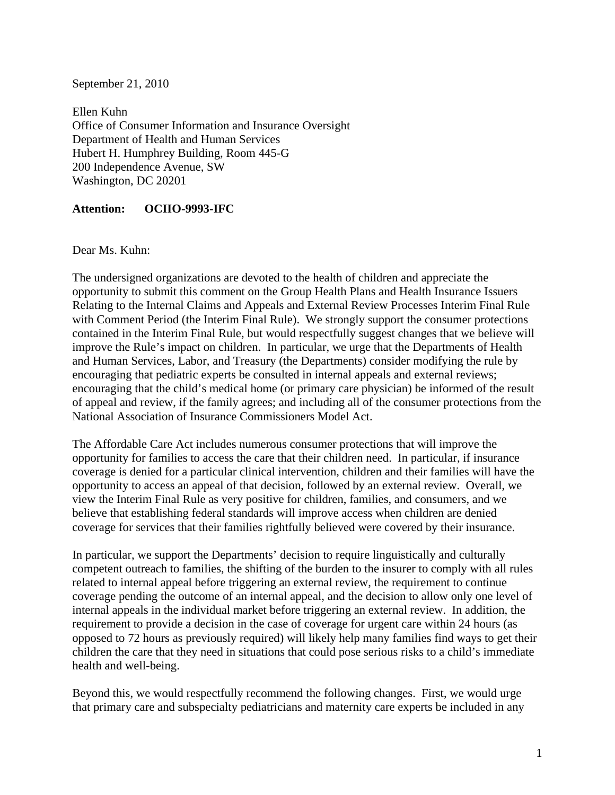September 21, 2010

Ellen Kuhn Office of Consumer Information and Insurance Oversight Department of Health and Human Services Hubert H. Humphrey Building, Room 445-G 200 Independence Avenue, SW Washington, DC 20201

## **Attention: OCIIO-9993-IFC**

Dear Ms. Kuhn:

The undersigned organizations are devoted to the health of children and appreciate the opportunity to submit this comment on the Group Health Plans and Health Insurance Issuers Relating to the Internal Claims and Appeals and External Review Processes Interim Final Rule with Comment Period (the Interim Final Rule). We strongly support the consumer protections contained in the Interim Final Rule, but would respectfully suggest changes that we believe will improve the Rule's impact on children. In particular, we urge that the Departments of Health and Human Services, Labor, and Treasury (the Departments) consider modifying the rule by encouraging that pediatric experts be consulted in internal appeals and external reviews; encouraging that the child's medical home (or primary care physician) be informed of the result of appeal and review, if the family agrees; and including all of the consumer protections from the National Association of Insurance Commissioners Model Act.

The Affordable Care Act includes numerous consumer protections that will improve the opportunity for families to access the care that their children need. In particular, if insurance coverage is denied for a particular clinical intervention, children and their families will have the opportunity to access an appeal of that decision, followed by an external review. Overall, we view the Interim Final Rule as very positive for children, families, and consumers, and we believe that establishing federal standards will improve access when children are denied coverage for services that their families rightfully believed were covered by their insurance.

In particular, we support the Departments' decision to require linguistically and culturally competent outreach to families, the shifting of the burden to the insurer to comply with all rules related to internal appeal before triggering an external review, the requirement to continue coverage pending the outcome of an internal appeal, and the decision to allow only one level of internal appeals in the individual market before triggering an external review. In addition, the requirement to provide a decision in the case of coverage for urgent care within 24 hours (as opposed to 72 hours as previously required) will likely help many families find ways to get their children the care that they need in situations that could pose serious risks to a child's immediate health and well-being.

Beyond this, we would respectfully recommend the following changes. First, we would urge that primary care and subspecialty pediatricians and maternity care experts be included in any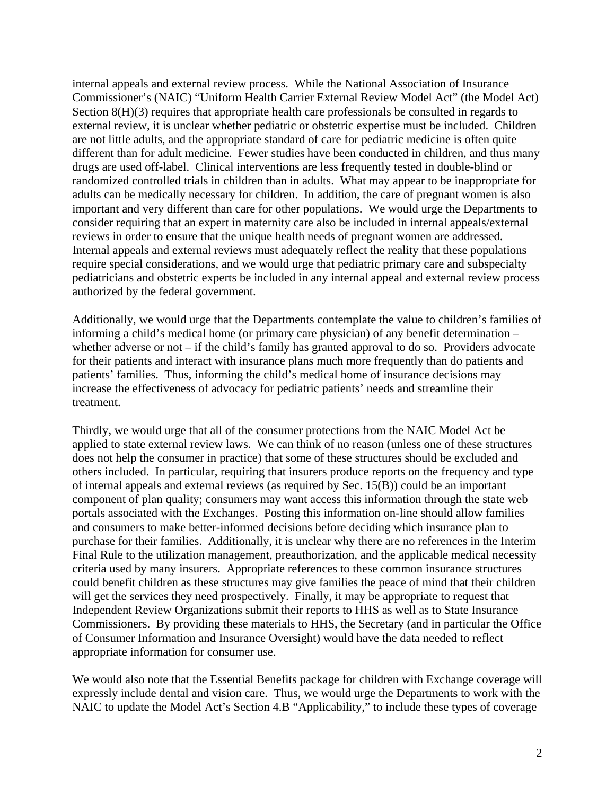internal appeals and external review process. While the National Association of Insurance Commissioner's (NAIC) "Uniform Health Carrier External Review Model Act" (the Model Act) Section 8(H)(3) requires that appropriate health care professionals be consulted in regards to external review, it is unclear whether pediatric or obstetric expertise must be included. Children are not little adults, and the appropriate standard of care for pediatric medicine is often quite different than for adult medicine. Fewer studies have been conducted in children, and thus many drugs are used off-label. Clinical interventions are less frequently tested in double-blind or randomized controlled trials in children than in adults. What may appear to be inappropriate for adults can be medically necessary for children. In addition, the care of pregnant women is also important and very different than care for other populations. We would urge the Departments to consider requiring that an expert in maternity care also be included in internal appeals/external reviews in order to ensure that the unique health needs of pregnant women are addressed. Internal appeals and external reviews must adequately reflect the reality that these populations require special considerations, and we would urge that pediatric primary care and subspecialty pediatricians and obstetric experts be included in any internal appeal and external review process authorized by the federal government.

Additionally, we would urge that the Departments contemplate the value to children's families of informing a child's medical home (or primary care physician) of any benefit determination – whether adverse or not – if the child's family has granted approval to do so. Providers advocate for their patients and interact with insurance plans much more frequently than do patients and patients' families. Thus, informing the child's medical home of insurance decisions may increase the effectiveness of advocacy for pediatric patients' needs and streamline their treatment.

Thirdly, we would urge that all of the consumer protections from the NAIC Model Act be applied to state external review laws. We can think of no reason (unless one of these structures does not help the consumer in practice) that some of these structures should be excluded and others included. In particular, requiring that insurers produce reports on the frequency and type of internal appeals and external reviews (as required by Sec. 15(B)) could be an important component of plan quality; consumers may want access this information through the state web portals associated with the Exchanges. Posting this information on-line should allow families and consumers to make better-informed decisions before deciding which insurance plan to purchase for their families. Additionally, it is unclear why there are no references in the Interim Final Rule to the utilization management, preauthorization, and the applicable medical necessity criteria used by many insurers. Appropriate references to these common insurance structures could benefit children as these structures may give families the peace of mind that their children will get the services they need prospectively. Finally, it may be appropriate to request that Independent Review Organizations submit their reports to HHS as well as to State Insurance Commissioners. By providing these materials to HHS, the Secretary (and in particular the Office of Consumer Information and Insurance Oversight) would have the data needed to reflect appropriate information for consumer use.

We would also note that the Essential Benefits package for children with Exchange coverage will expressly include dental and vision care. Thus, we would urge the Departments to work with the NAIC to update the Model Act's Section 4.B "Applicability," to include these types of coverage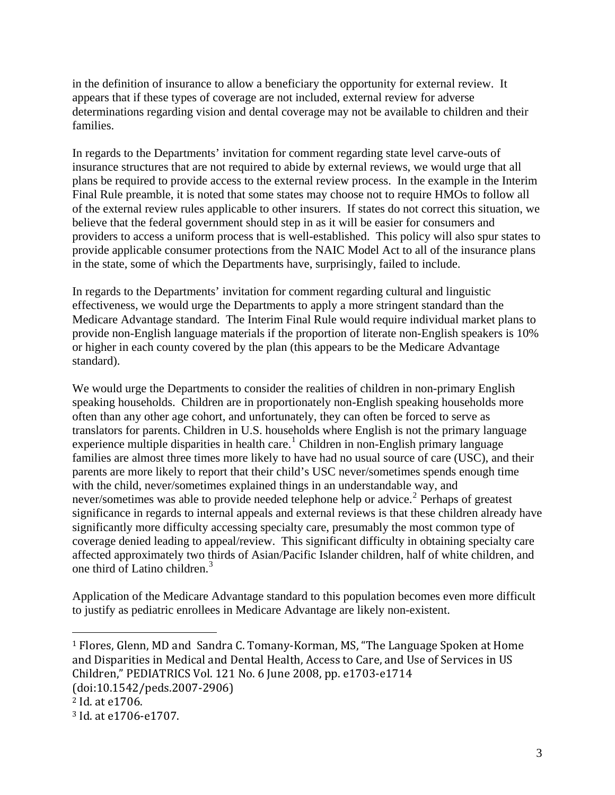in the definition of insurance to allow a beneficiary the opportunity for external review. It appears that if these types of coverage are not included, external review for adverse determinations regarding vision and dental coverage may not be available to children and their families.

In regards to the Departments' invitation for comment regarding state level carve-outs of insurance structures that are not required to abide by external reviews, we would urge that all plans be required to provide access to the external review process. In the example in the Interim Final Rule preamble, it is noted that some states may choose not to require HMOs to follow all of the external review rules applicable to other insurers. If states do not correct this situation, we believe that the federal government should step in as it will be easier for consumers and providers to access a uniform process that is well-established. This policy will also spur states to provide applicable consumer protections from the NAIC Model Act to all of the insurance plans in the state, some of which the Departments have, surprisingly, failed to include.

In regards to the Departments' invitation for comment regarding cultural and linguistic effectiveness, we would urge the Departments to apply a more stringent standard than the Medicare Advantage standard. The Interim Final Rule would require individual market plans to provide non-English language materials if the proportion of literate non-English speakers is 10% or higher in each county covered by the plan (this appears to be the Medicare Advantage standard).

We would urge the Departments to consider the realities of children in non-primary English speaking households. Children are in proportionately non-English speaking households more often than any other age cohort, and unfortunately, they can often be forced to serve as translators for parents. Children in U.S. households where English is not the primary language experience multiple disparities in health care.<sup>[1](#page-2-0)</sup> Children in non-English primary language families are almost three times more likely to have had no usual source of care (USC), and their parents are more likely to report that their child's USC never/sometimes spends enough time with the child, never/sometimes explained things in an understandable way, and never/sometimes was able to provide needed telephone help or advice.<sup>[2](#page-2-1)</sup> Perhaps of greatest significance in regards to internal appeals and external reviews is that these children already have significantly more difficulty accessing specialty care, presumably the most common type of coverage denied leading to appeal/review. This significant difficulty in obtaining specialty care affected approximately two thirds of Asian/Pacific Islander children, half of white children, and one third of Latino children.[3](#page-2-2)

Application of the Medicare Advantage standard to this population becomes even more difficult to justify as pediatric enrollees in Medicare Advantage are likely non-existent.

1

<span id="page-2-0"></span><sup>1</sup> Flores, Glenn, MD and Sandra C. Tomany‐Korman, MS, "The Language Spoken at Home and Disparities in Medical and Dental Health, Access to Care, and Use of Services in US Children," PEDIATRICS Vol. 121 No. 6 June 2008, pp. e1703-e1714 (doi:10.1542/peds.2007-2906)

<span id="page-2-1"></span><sup>2</sup> Id. at e1706.

<span id="page-2-2"></span><sup>3</sup> Id. at e1706‐e1707.